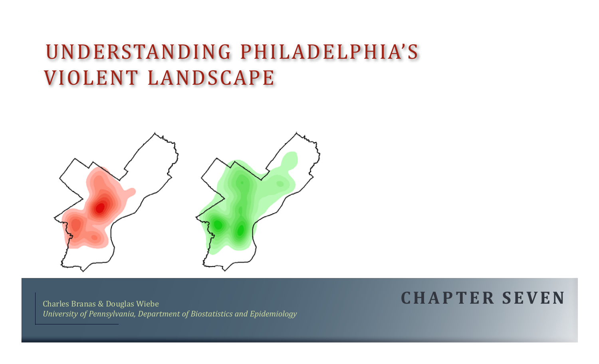# understanding Philadelphia's Violent landscape



Charles Branas & Douglas Wiebe *University of Pennsylvania, Department of Biostatistics and Epidemiology*

## **C H A P T E R seven**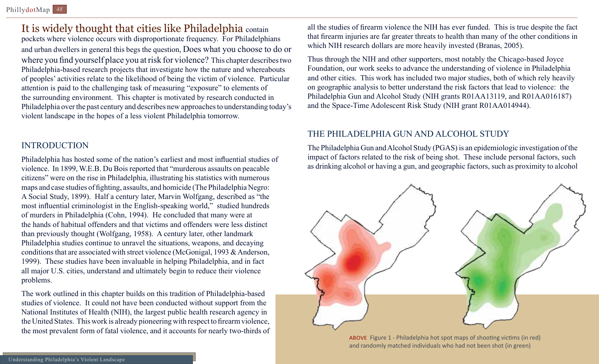### It is widely thought that cities like Philadelphia contain

pockets where violence occurs with disproportionate frequency. For Philadelphians and urban dwellers in general this begs the question, Does what you choose to do or where you find yourself place you at risk for violence? This chapter describes two Philadelphia-based research projects that investigate how the nature and whereabouts of peoples' activities relate to the likelihood of being the victim of violence. Particular attention is paid to the challenging task of measuring "exposure" to elements of the surrounding environment. This chapter is motivated by research conducted in Philadelphia over the past century and describes new approaches to understanding today's violent landscape in the hopes of a less violent Philadelphia tomorrow.

#### **INTRODUCTION**

Philadelphia has hosted some of the nation's earliest and most influential studies of violence. In 1899, W.E.B. Du Bois reported that "murderous assaults on peacable citizens" were on the rise in Philadelphia, illustrating his statistics with numerous maps and case studies of fighting, assaults, and homicide (The Philadelphia Negro: A Social Study, 1899). Half a century later, Marvin Wolfgang, described as "the most influential criminologist in the English-speaking world," studied hundreds of murders in Philadelphia (Cohn, 1994). He concluded that many were at the hands of habitual offenders and that victims and offenders were less distinct than previously thought (Wolfgang, 1958). A century later, other landmark Philadelphia studies continue to unravel the situations, weapons, and decaying conditions that are associated with street violence (McGonigal, 1993 & Anderson, 1999). These studies have been invaluable in helping Philadelphia, and in fact all major U.S. cities, understand and ultimately begin to reduce their violence problems.

The work outlined in this chapter builds on this tradition of Philadelphia-based studies of violence. It could not have been conducted without support from the National Institutes of Health (NIH), the largest public health research agency in the United States. This work is already pioneering with respect to firearm violence, the most prevalent form of fatal violence, and it accounts for nearly two-thirds of all the studies of firearm violence the NIH has ever funded. This is true despite the fact that firearm injuries are far greater threats to health than many of the other conditions in which NIH research dollars are more heavily invested (Branas, 2005).

Thus through the NIH and other supporters, most notably the Chicago-based Joyce Foundation, our work seeks to advance the understanding of violence in Philadelphia and other cities. This work has included two major studies, both of which rely heavily on geographic analysis to better understand the risk factors that lead to violence: the Philadelphia Gun and Alcohol Study (NIH grants R01AA13119, and R01AA016187) and the Space-Time Adolescent Risk Study (NIH grant R01AA014944).

#### The Philadelphia Gun and Alcohol Study

The Philadelphia Gun and Alcohol Study (PGAS) is an epidemiologic investigation of the impact of factors related to the risk of being shot. These include personal factors, such as drinking alcohol or having a gun, and geographic factors, such as proximity to alcohol



above Figure 1 - Philadelphia hot spot maps of shooting victims (in red) and randomly matched individuals who had not been shot (in green)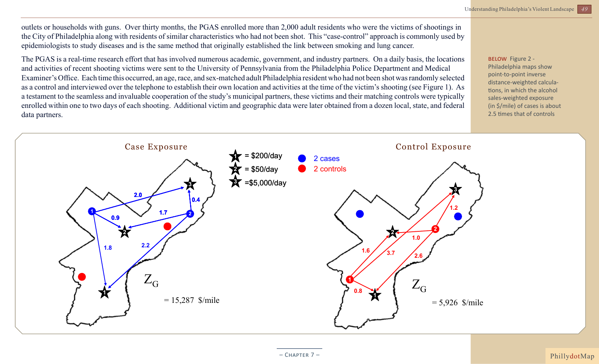outlets or households with guns. Over thirty months, the PGAS enrolled more than 2,000 adult residents who were the victims of shootings in the City of Philadelphia along with residents of similar characteristics who had not been shot. This "case-control" approach is commonly used by epidemiologists to study diseases and is the same method that originally established the link between smoking and lung cancer.

The PGAS is a real-time research effort that has involved numerous academic, government, and industry partners. On a daily basis, the locations and activities of recent shooting victims were sent to the University of Pennsylvania from the Philadelphia Police Department and Medical Examiner's Office. Each time this occurred, an age, race, and sex-matched adult Philadelphia resident who had not been shot was randomly selected as a control and interviewed over the telephone to establish their own location and activities at the time of the victim's shooting (see Figure 1). As a testament to the seamless and invaluable cooperation of the study's municipal partners, these victims and their matching controls were typically enrolled within one to two days of each shooting. Additional victim and geographic data were later obtained from a dozen local, state, and federal data partners.

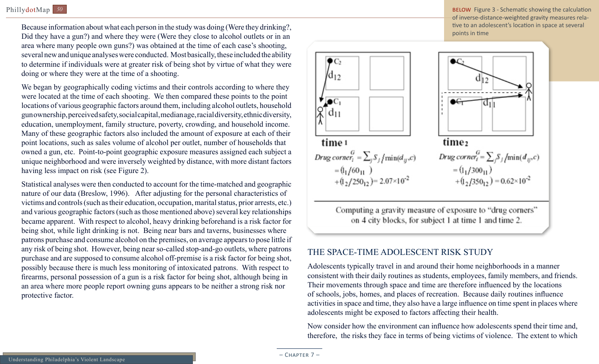Because information about what each person in the study was doing (Were they drinking?, Did they have a gun?) and where they were (Were they close to alcohol outlets or in an area where many people own guns?) was obtained at the time of each case's shooting, several new and unique analyses were conducted. Most basically, these included the ability to determine if individuals were at greater risk of being shot by virtue of what they were doing or where they were at the time of a shooting.

We began by geographically coding victims and their controls according to where they were located at the time of each shooting. We then compared these points to the point locations of various geographic factors around them, including alcohol outlets, household gun ownership, perceived safety, social capital, median age, racial diversity, ethnic diversity, education, unemployment, family structure, poverty, crowding, and household income. Many of these geographic factors also included the amount of exposure at each of their point locations, such as sales volume of alcohol per outlet, number of households that owned a gun, etc. Point-to-point geographic exposure measures assigned each subject a unique neighborhood and were inversely weighted by distance, with more distant factors having less impact on risk (see Figure 2).

Statistical analyses were then conducted to account for the time-matched and geographic nature of our data (Breslow, 1996). After adjusting for the personal characteristics of victims and controls (such as their education, occupation, marital status, prior arrests, etc.) and various geographic factors (such as those mentioned above) several key relationships became apparent. With respect to alcohol, heavy drinking beforehand is a risk factor for being shot, while light drinking is not. Being near bars and taverns, businesses where patrons purchase and consume alcohol on the premises, on average appears to pose little if any risk of being shot. However, being near so-called stop-and-go outlets, where patrons purchase and are supposed to consume alcohol off-premise is a risk factor for being shot, possibly because there is much less monitoring of intoxicated patrons. With respect to firearms, personal possession of a gun is a risk factor for being shot, although being in an area where more people report owning guns appears to be neither a strong risk nor protective factor.

below Figure 3 - Schematic showing the calculation of inverse-distance-weighted gravity measures relative to an adolescent's location in space at several points in time



Computing a gravity measure of exposure to "drug corners" on 4 city blocks, for subject 1 at time 1 and time 2.

#### The Space-Time Adolescent Risk Study

Adolescents typically travel in and around their home neighborhoods in a manner consistent with their daily routines as students, employees, family members, and friends. Their movements through space and time are therefore influenced by the locations of schools, jobs, homes, and places of recreation. Because daily routines influence activities in space and time, they also have a large influence on time spent in places where adolescents might be exposed to factors affecting their health.

Now consider how the environment can influence how adolescents spend their time and, therefore, the risks they face in terms of being victims of violence. The extent to which

 $-$  CHAPTER  $7-$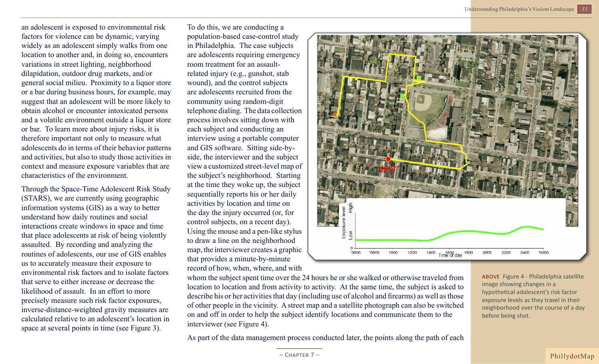an adolescent is exposed to environmental risk factors for violence can be dynamic, varying widely as an adolescent simply walks from one location to another and, in doing so, encounters variations in street lighting, neighborhood dilapidation, outdoor drug markets, and/or general social milieu. Proximity to a liquor store or a bar during business hours, for example, may suggest that an adolescent will be more likely to obtain alcohol or encounter intoxicated persons and a volatile environment outside a liquor store or bar. To learn more about injury risks, it is therefore important not only to measure what adolescents do in terms of their behavior patterns and activities, but also to study those activities in context and measure exposure variables that are characteristics of the environment.

Through the Space-Time Adolescent Risk Study (STARS), we are currently using geographic information systems (GIS) as a way to better understand how daily routines and social interactions create windows in space and time that place adolescents at risk of being violently assaulted. By recording and analyzing the routines of adolescents, our use of GIS enables us to accurately measure their exposure to environmental risk factors and to isolate factors that serve to either increase or decrease the likelihood of assault. In an effort to more precisely measure such risk factor exposures, inverse-distance-weighted gravity measures are calculated relative to an adolescent's location in space at several points in time (see Figure 3).

To do this, we are conducting a population-based case-control study in Philadelphia. The case subjects are adolescents requiring emergency room treatment for an assaultrelated injury (e.g., gunshot, stab wound), and the control subjects are adolescents recruited from the community using random-digit telephone dialing. The data collection process involves sitting down with each subject and conducting an interview using a portable computer and GIS software. Sitting side-byside, the interviewer and the subject view a customized street-level map of the subject's neighborhood. Starting at the time they woke up, the subject sequentially reports his or her daily activities by location and time on the day the injury occurred (or, for control subjects, on a recent day). Using the mouse and a pen-like stylus to draw a line on the neighborhood map, the interviewer creates a graphic that provides a minute-by-minute record of how, when, where, and with



whom the subject spent time over the 24 hours he or she walked or otherwise traveled from location to location and from activity to activity. At the same time, the subject is asked to describe his or her activities that day (including use of alcohol and firearms) as well as those of other people in the vicinity. A street map and a satellite photograph can also be switched on and off in order to help the subject identify locations and communicate them to the interviewer (see Figure 4).

above Figure 4 - Philadelphia satellite image showing changes in a hypothetical adolescent's risk factor exposure levels as they travel in their neighborhood over the course of a day before being shot.

As part of the data management process conducted later, the points along the path of each